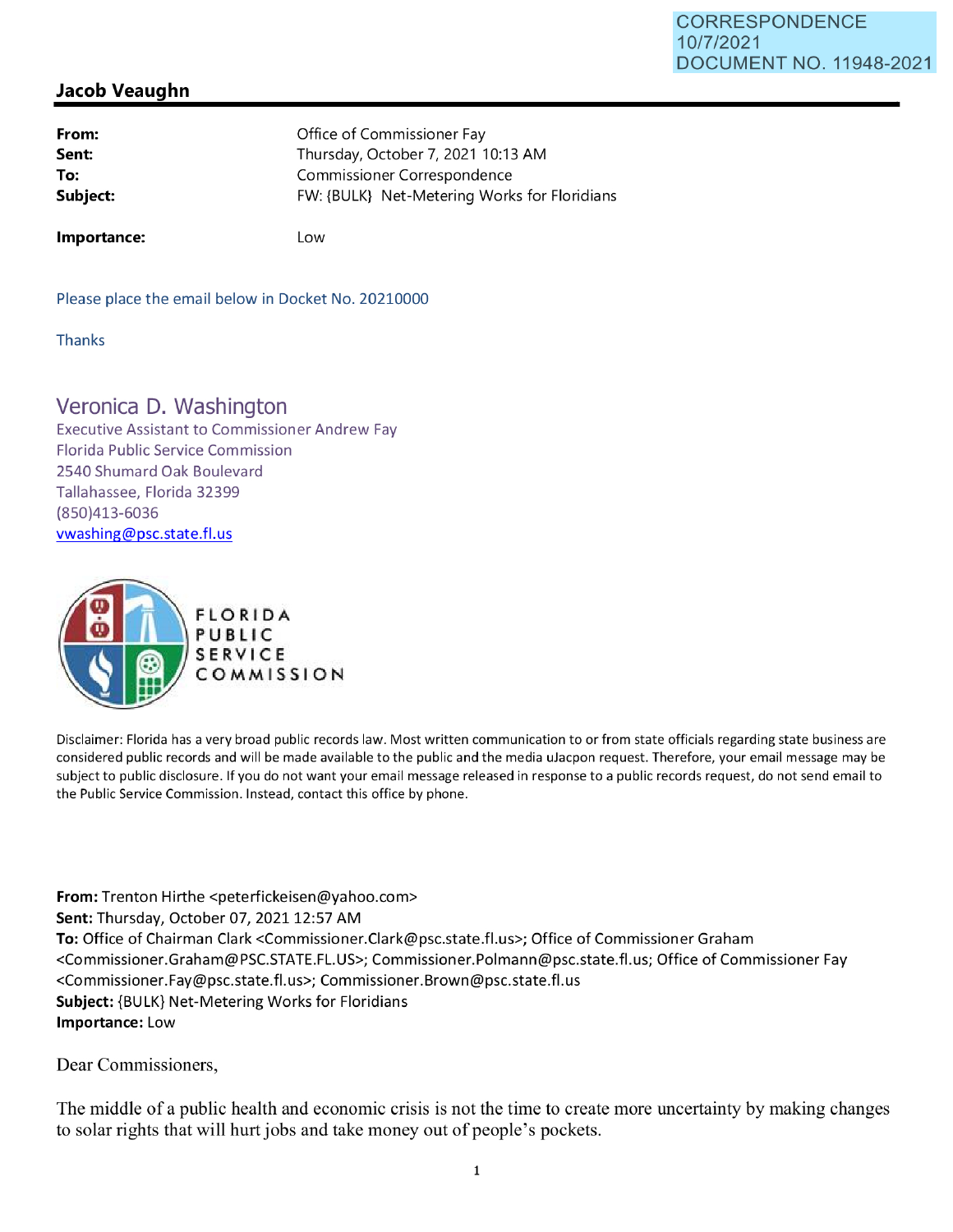## **Jacob Veaughn**

| From:    | Office of Commissioner Fay                   |
|----------|----------------------------------------------|
| Sent:    | Thursday, October 7, 2021 10:13 AM           |
| To:      | Commissioner Correspondence                  |
| Subject: | FW: {BULK} Net-Metering Works for Floridians |
|          |                                              |

**Importance:** 

Low

Please place the email below in Docket No. 20210000

Thanks

## Veronica D. Washington

Executive Assistant to Commissioner Andrew Fay Florida Public Service Commission 2540 Shumard Oak Boulevard Tallahassee, Florida 32399 (850)413-6036 vwashing@psc.state.fl.us



Disclaimer: Florida has a very broad public records law. Most written communication to or from state officials regarding state business are considered public records and will be made available to the public and the media uJacpon request. Therefore, your email message may be subject to public disclosure. If you do not want your email message released in response to a public records request, do not send email to the Public Service Commission. Instead, contact this office by phone.

**From:** Trenton Hirthe <peterfickeisen@yahoo.com> **Sent: Thursday, October 07, 2021 12:57 AM To:** Office of Chairman Clark <Commissioner.Clark@psc.state.fl.us>; Office of Commissioner Graham <Commissioner.Graham@PSC.STATE.FL.US>; Commissioner.Polmann@psc.state.fl.us; Office of Commissioner Fay <Commissioner.Fay@psc.state.fl.us>; Commissioner.Brown@psc.state.fl.us **Subject:** {BULK} Net-Metering Works for Floridians **Importance:** Low

Dear Commissioners,

The middle of a public health and economic crisis is not the time to create more uncertainty by making changes to solar rights that will hurt jobs and take money out of people's pockets.